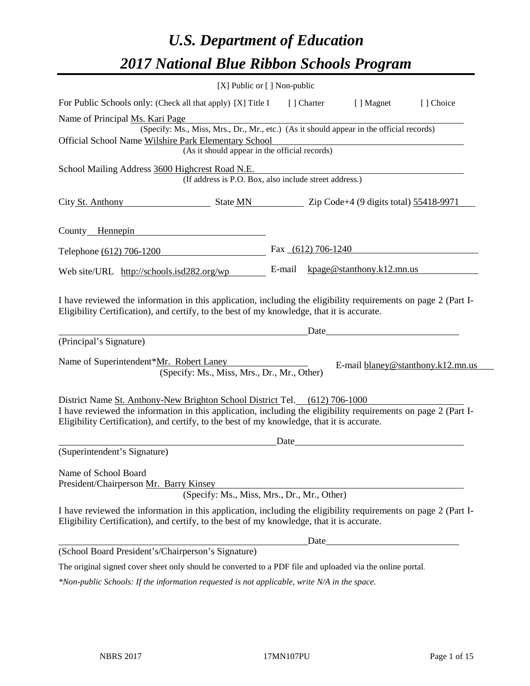# *U.S. Department of Education 2017 National Blue Ribbon Schools Program*

|                                                                                                                                                                                                                                                                                            | [X] Public or [] Non-public |                      |                                                                                                                                                                                                                                |            |
|--------------------------------------------------------------------------------------------------------------------------------------------------------------------------------------------------------------------------------------------------------------------------------------------|-----------------------------|----------------------|--------------------------------------------------------------------------------------------------------------------------------------------------------------------------------------------------------------------------------|------------|
| For Public Schools only: (Check all that apply) [X] Title I                                                                                                                                                                                                                                |                             | [ ] Charter          | [ ] Magnet                                                                                                                                                                                                                     | [ ] Choice |
| Name of Principal Ms. Kari Page                                                                                                                                                                                                                                                            |                             |                      |                                                                                                                                                                                                                                |            |
| (Specify: Ms., Miss, Mrs., Dr., Mr., etc.) (As it should appear in the official records)                                                                                                                                                                                                   |                             |                      |                                                                                                                                                                                                                                |            |
| Official School Name Wilshire Park Elementary School                                                                                                                                                                                                                                       |                             |                      |                                                                                                                                                                                                                                |            |
| (As it should appear in the official records)                                                                                                                                                                                                                                              |                             |                      |                                                                                                                                                                                                                                |            |
| School Mailing Address 3600 Highcrest Road N.E.                                                                                                                                                                                                                                            |                             |                      |                                                                                                                                                                                                                                |            |
| (If address is P.O. Box, also include street address.)                                                                                                                                                                                                                                     |                             |                      |                                                                                                                                                                                                                                |            |
| City St. Anthony State MN Zip Code+4 (9 digits total) 55418-9971                                                                                                                                                                                                                           |                             |                      |                                                                                                                                                                                                                                |            |
| County Hennepin                                                                                                                                                                                                                                                                            |                             |                      |                                                                                                                                                                                                                                |            |
| Telephone (612) 706-1200                                                                                                                                                                                                                                                                   |                             | Fax $(612)$ 706-1240 |                                                                                                                                                                                                                                |            |
| Web site/URL http://schools.isd282.org/wp                                                                                                                                                                                                                                                  | E-mail                      |                      | kpage@stanthony.k12.mn.us                                                                                                                                                                                                      |            |
| I have reviewed the information in this application, including the eligibility requirements on page 2 (Part I-<br>Eligibility Certification), and certify, to the best of my knowledge, that it is accurate.<br>(Principal's Signature)                                                    |                             |                      | Date and the contract of the contract of the contract of the contract of the contract of the contract of the contract of the contract of the contract of the contract of the contract of the contract of the contract of the c |            |
| Name of Superintendent*Mr. Robert Laney<br>(Specify: Ms., Miss, Mrs., Dr., Mr., Other)                                                                                                                                                                                                     |                             |                      | E-mail blaney@stanthony.k12.mn.us                                                                                                                                                                                              |            |
| District Name St. Anthony-New Brighton School District Tel. (612) 706-1000<br>I have reviewed the information in this application, including the eligibility requirements on page 2 (Part I-<br>Eligibility Certification), and certify, to the best of my knowledge, that it is accurate. | Date                        |                      |                                                                                                                                                                                                                                |            |
| (Superintendent's Signature)                                                                                                                                                                                                                                                               |                             |                      |                                                                                                                                                                                                                                |            |
| Name of School Board<br>President/Chairperson Mr. Barry Kinsey<br>(Specify: Ms., Miss, Mrs., Dr., Mr., Other)                                                                                                                                                                              |                             |                      |                                                                                                                                                                                                                                |            |
| I have reviewed the information in this application, including the eligibility requirements on page 2 (Part I-<br>Eligibility Certification), and certify, to the best of my knowledge, that it is accurate.                                                                               |                             |                      |                                                                                                                                                                                                                                |            |
|                                                                                                                                                                                                                                                                                            |                             | Date_                |                                                                                                                                                                                                                                |            |
| (School Board President's/Chairperson's Signature)                                                                                                                                                                                                                                         |                             |                      |                                                                                                                                                                                                                                |            |
| The original signed cover sheet only should be converted to a PDF file and uploaded via the online portal.                                                                                                                                                                                 |                             |                      |                                                                                                                                                                                                                                |            |
| *Non-public Schools: If the information requested is not applicable, write N/A in the space.                                                                                                                                                                                               |                             |                      |                                                                                                                                                                                                                                |            |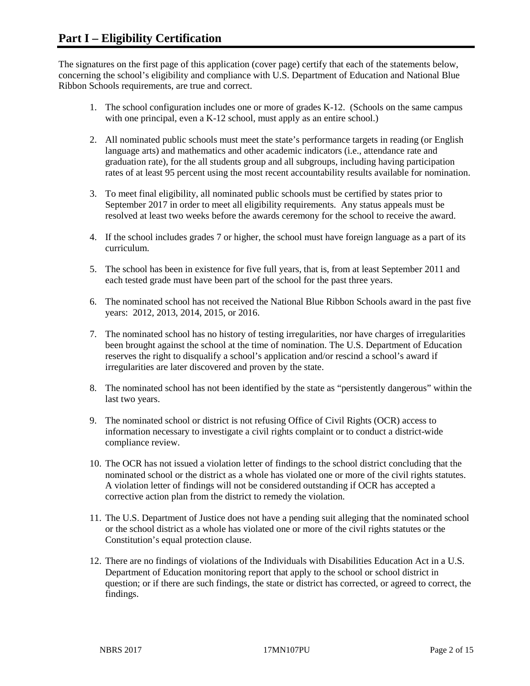The signatures on the first page of this application (cover page) certify that each of the statements below, concerning the school's eligibility and compliance with U.S. Department of Education and National Blue Ribbon Schools requirements, are true and correct.

- 1. The school configuration includes one or more of grades K-12. (Schools on the same campus with one principal, even a K-12 school, must apply as an entire school.)
- 2. All nominated public schools must meet the state's performance targets in reading (or English language arts) and mathematics and other academic indicators (i.e., attendance rate and graduation rate), for the all students group and all subgroups, including having participation rates of at least 95 percent using the most recent accountability results available for nomination.
- 3. To meet final eligibility, all nominated public schools must be certified by states prior to September 2017 in order to meet all eligibility requirements. Any status appeals must be resolved at least two weeks before the awards ceremony for the school to receive the award.
- 4. If the school includes grades 7 or higher, the school must have foreign language as a part of its curriculum.
- 5. The school has been in existence for five full years, that is, from at least September 2011 and each tested grade must have been part of the school for the past three years.
- 6. The nominated school has not received the National Blue Ribbon Schools award in the past five years: 2012, 2013, 2014, 2015, or 2016.
- 7. The nominated school has no history of testing irregularities, nor have charges of irregularities been brought against the school at the time of nomination. The U.S. Department of Education reserves the right to disqualify a school's application and/or rescind a school's award if irregularities are later discovered and proven by the state.
- 8. The nominated school has not been identified by the state as "persistently dangerous" within the last two years.
- 9. The nominated school or district is not refusing Office of Civil Rights (OCR) access to information necessary to investigate a civil rights complaint or to conduct a district-wide compliance review.
- 10. The OCR has not issued a violation letter of findings to the school district concluding that the nominated school or the district as a whole has violated one or more of the civil rights statutes. A violation letter of findings will not be considered outstanding if OCR has accepted a corrective action plan from the district to remedy the violation.
- 11. The U.S. Department of Justice does not have a pending suit alleging that the nominated school or the school district as a whole has violated one or more of the civil rights statutes or the Constitution's equal protection clause.
- 12. There are no findings of violations of the Individuals with Disabilities Education Act in a U.S. Department of Education monitoring report that apply to the school or school district in question; or if there are such findings, the state or district has corrected, or agreed to correct, the findings.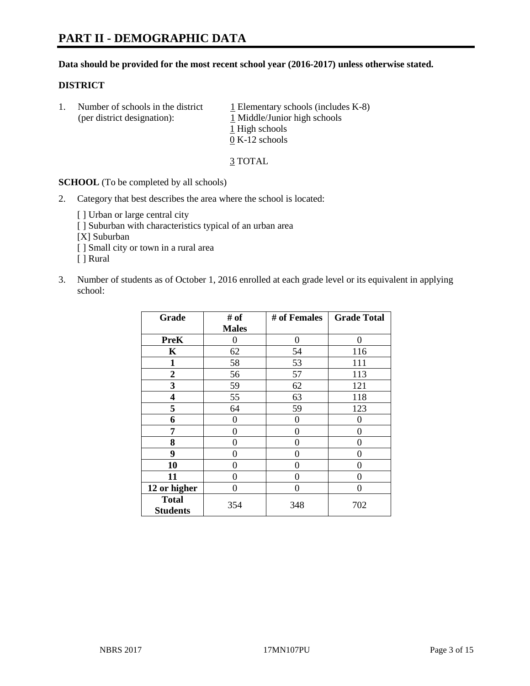#### **Data should be provided for the most recent school year (2016-2017) unless otherwise stated.**

#### **DISTRICT**

1. Number of schools in the district  $1$  Elementary schools (includes K-8) (per district designation): 1 Middle/Junior high schools 1 High schools 0 K-12 schools

3 TOTAL

**SCHOOL** (To be completed by all schools)

- 2. Category that best describes the area where the school is located:
	- [] Urban or large central city [ ] Suburban with characteristics typical of an urban area [X] Suburban [ ] Small city or town in a rural area [ ] Rural
- 3. Number of students as of October 1, 2016 enrolled at each grade level or its equivalent in applying school:

| Grade                           | # of         | # of Females | <b>Grade Total</b> |
|---------------------------------|--------------|--------------|--------------------|
|                                 | <b>Males</b> |              |                    |
| <b>PreK</b>                     | 0            | $\theta$     | 0                  |
| $\mathbf K$                     | 62           | 54           | 116                |
| $\mathbf{1}$                    | 58           | 53           | 111                |
| $\overline{2}$                  | 56           | 57           | 113                |
| 3                               | 59           | 62           | 121                |
| 4                               | 55           | 63           | 118                |
| 5                               | 64           | 59           | 123                |
| 6                               | 0            | 0            | 0                  |
| 7                               | 0            | 0            | 0                  |
| 8                               | 0            | 0            | 0                  |
| 9                               | 0            | 0            | 0                  |
| 10                              | 0            | 0            | 0                  |
| 11                              | 0            | 0            | $\mathbf{\Omega}$  |
| 12 or higher                    | 0            | 0            | 0                  |
| <b>Total</b><br><b>Students</b> | 354          | 348          | 702                |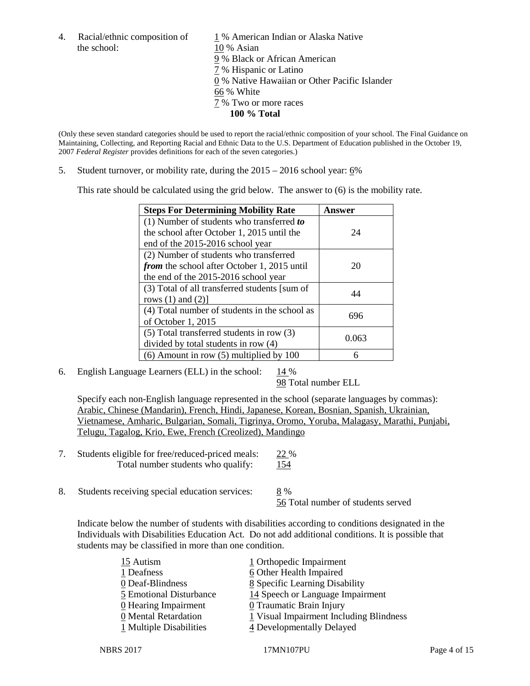the school: 10 % Asian

4. Racial/ethnic composition of  $1\%$  American Indian or Alaska Native 9 % Black or African American 7 % Hispanic or Latino 0 % Native Hawaiian or Other Pacific Islander 66 % White 7 % Two or more races **100 % Total**

(Only these seven standard categories should be used to report the racial/ethnic composition of your school. The Final Guidance on Maintaining, Collecting, and Reporting Racial and Ethnic Data to the U.S. Department of Education published in the October 19, 2007 *Federal Register* provides definitions for each of the seven categories.)

5. Student turnover, or mobility rate, during the 2015 – 2016 school year: 6%

This rate should be calculated using the grid below. The answer to (6) is the mobility rate.

| <b>Steps For Determining Mobility Rate</b>         | Answer |
|----------------------------------------------------|--------|
| (1) Number of students who transferred to          |        |
| the school after October 1, 2015 until the         | 24     |
| end of the 2015-2016 school year                   |        |
| (2) Number of students who transferred             |        |
| <i>from</i> the school after October 1, 2015 until | 20     |
| the end of the 2015-2016 school year               |        |
| (3) Total of all transferred students [sum of      | 44     |
| rows $(1)$ and $(2)$ ]                             |        |
| (4) Total number of students in the school as      | 696    |
| of October 1, 2015                                 |        |
| $(5)$ Total transferred students in row $(3)$      |        |
| divided by total students in row (4)               | 0.063  |
| $(6)$ Amount in row $(5)$ multiplied by 100        | 6      |

6. English Language Learners (ELL) in the school:  $14\%$ 

98 Total number ELL

Specify each non-English language represented in the school (separate languages by commas): Arabic, Chinese (Mandarin), French, Hindi, Japanese, Korean, Bosnian, Spanish, Ukrainian, Vietnamese, Amharic, Bulgarian, Somali, Tigrinya, Oromo, Yoruba, Malagasy, Marathi, Punjabi, Telugu, Tagalog, Krio, Ewe, French (Creolized), Mandingo

- 7. Students eligible for free/reduced-priced meals: 22 % Total number students who qualify: 154
- 8. Students receiving special education services: 8 % 56 Total number of students served

Indicate below the number of students with disabilities according to conditions designated in the Individuals with Disabilities Education Act. Do not add additional conditions. It is possible that students may be classified in more than one condition.

| 15 Autism               | 1 Orthopedic Impairment                 |
|-------------------------|-----------------------------------------|
| 1 Deafness              | 6 Other Health Impaired                 |
| 0 Deaf-Blindness        | 8 Specific Learning Disability          |
| 5 Emotional Disturbance | 14 Speech or Language Impairment        |
| $0$ Hearing Impairment  | <b>0</b> Traumatic Brain Injury         |
| 0 Mental Retardation    | 1 Visual Impairment Including Blindness |
| 1 Multiple Disabilities | 4 Developmentally Delayed               |
|                         |                                         |

NBRS 2017 17MN107PU Page 4 of 15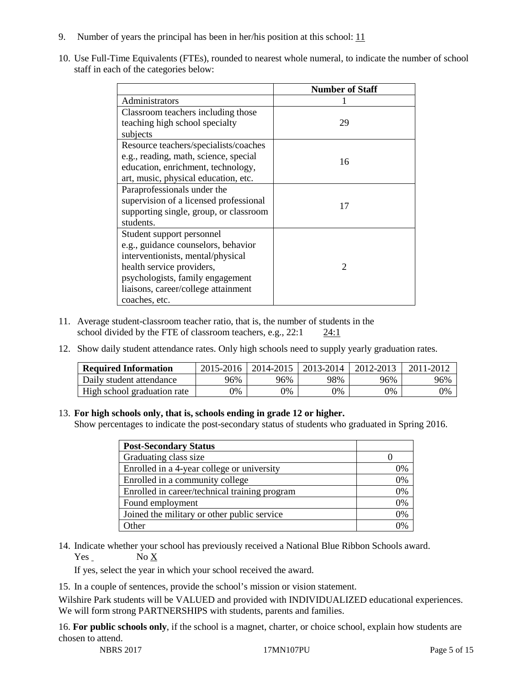- 9. Number of years the principal has been in her/his position at this school:  $11$
- 10. Use Full-Time Equivalents (FTEs), rounded to nearest whole numeral, to indicate the number of school staff in each of the categories below:

|                                        | <b>Number of Staff</b> |
|----------------------------------------|------------------------|
| Administrators                         |                        |
| Classroom teachers including those     |                        |
| teaching high school specialty         | 29                     |
| subjects                               |                        |
| Resource teachers/specialists/coaches  |                        |
| e.g., reading, math, science, special  | 16                     |
| education, enrichment, technology,     |                        |
| art, music, physical education, etc.   |                        |
| Paraprofessionals under the            |                        |
| supervision of a licensed professional | 17                     |
| supporting single, group, or classroom |                        |
| students.                              |                        |
| Student support personnel              |                        |
| e.g., guidance counselors, behavior    |                        |
| interventionists, mental/physical      |                        |
| health service providers,              | $\mathcal{D}$          |
| psychologists, family engagement       |                        |
| liaisons, career/college attainment    |                        |
| coaches, etc.                          |                        |

- 11. Average student-classroom teacher ratio, that is, the number of students in the school divided by the FTE of classroom teachers, e.g., 22:1 24:1
- 12. Show daily student attendance rates. Only high schools need to supply yearly graduation rates.

| <b>Required Information</b> | 2015-2016 | 2014-2015 | 2013-2014 | 2012-2013 | 2011-2012 |
|-----------------------------|-----------|-----------|-----------|-----------|-----------|
| Daily student attendance    | 96%       | 96%       | 98%       | 96%       | 96%       |
| High school graduation rate | 0%        | 0%        | 0%        | 9%        | 0%        |

#### 13. **For high schools only, that is, schools ending in grade 12 or higher.**

Show percentages to indicate the post-secondary status of students who graduated in Spring 2016.

| <b>Post-Secondary Status</b>                  |    |
|-----------------------------------------------|----|
| Graduating class size                         |    |
| Enrolled in a 4-year college or university    | 0% |
| Enrolled in a community college               | 0% |
| Enrolled in career/technical training program | 0% |
| Found employment                              | 0% |
| Joined the military or other public service   | 0% |
| Other                                         |    |

14. Indicate whether your school has previously received a National Blue Ribbon Schools award. Yes No X

If yes, select the year in which your school received the award.

15. In a couple of sentences, provide the school's mission or vision statement.

Wilshire Park students will be VALUED and provided with INDIVIDUALIZED educational experiences. We will form strong PARTNERSHIPS with students, parents and families.

16. **For public schools only**, if the school is a magnet, charter, or choice school, explain how students are chosen to attend.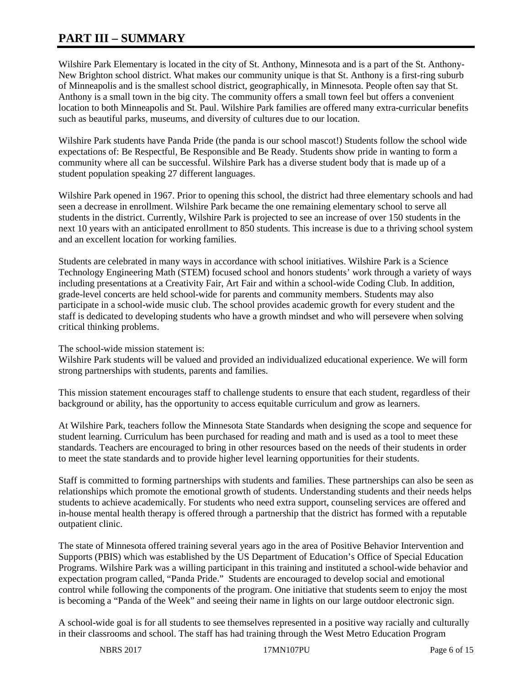# **PART III – SUMMARY**

Wilshire Park Elementary is located in the city of St. Anthony, Minnesota and is a part of the St. Anthony-New Brighton school district. What makes our community unique is that St. Anthony is a first-ring suburb of Minneapolis and is the smallest school district, geographically, in Minnesota. People often say that St. Anthony is a small town in the big city. The community offers a small town feel but offers a convenient location to both Minneapolis and St. Paul. Wilshire Park families are offered many extra-curricular benefits such as beautiful parks, museums, and diversity of cultures due to our location.

Wilshire Park students have Panda Pride (the panda is our school mascot!) Students follow the school wide expectations of: Be Respectful, Be Responsible and Be Ready. Students show pride in wanting to form a community where all can be successful. Wilshire Park has a diverse student body that is made up of a student population speaking 27 different languages.

Wilshire Park opened in 1967. Prior to opening this school, the district had three elementary schools and had seen a decrease in enrollment. Wilshire Park became the one remaining elementary school to serve all students in the district. Currently, Wilshire Park is projected to see an increase of over 150 students in the next 10 years with an anticipated enrollment to 850 students. This increase is due to a thriving school system and an excellent location for working families.

Students are celebrated in many ways in accordance with school initiatives. Wilshire Park is a Science Technology Engineering Math (STEM) focused school and honors students' work through a variety of ways including presentations at a Creativity Fair, Art Fair and within a school-wide Coding Club. In addition, grade-level concerts are held school-wide for parents and community members. Students may also participate in a school-wide music club. The school provides academic growth for every student and the staff is dedicated to developing students who have a growth mindset and who will persevere when solving critical thinking problems.

The school-wide mission statement is:

Wilshire Park students will be valued and provided an individualized educational experience. We will form strong partnerships with students, parents and families.

This mission statement encourages staff to challenge students to ensure that each student, regardless of their background or ability, has the opportunity to access equitable curriculum and grow as learners.

At Wilshire Park, teachers follow the Minnesota State Standards when designing the scope and sequence for student learning. Curriculum has been purchased for reading and math and is used as a tool to meet these standards. Teachers are encouraged to bring in other resources based on the needs of their students in order to meet the state standards and to provide higher level learning opportunities for their students.

Staff is committed to forming partnerships with students and families. These partnerships can also be seen as relationships which promote the emotional growth of students. Understanding students and their needs helps students to achieve academically. For students who need extra support, counseling services are offered and in-house mental health therapy is offered through a partnership that the district has formed with a reputable outpatient clinic.

The state of Minnesota offered training several years ago in the area of Positive Behavior Intervention and Supports (PBIS) which was established by the US Department of Education's Office of Special Education Programs. Wilshire Park was a willing participant in this training and instituted a school-wide behavior and expectation program called, "Panda Pride." Students are encouraged to develop social and emotional control while following the components of the program. One initiative that students seem to enjoy the most is becoming a "Panda of the Week" and seeing their name in lights on our large outdoor electronic sign.

A school-wide goal is for all students to see themselves represented in a positive way racially and culturally in their classrooms and school. The staff has had training through the West Metro Education Program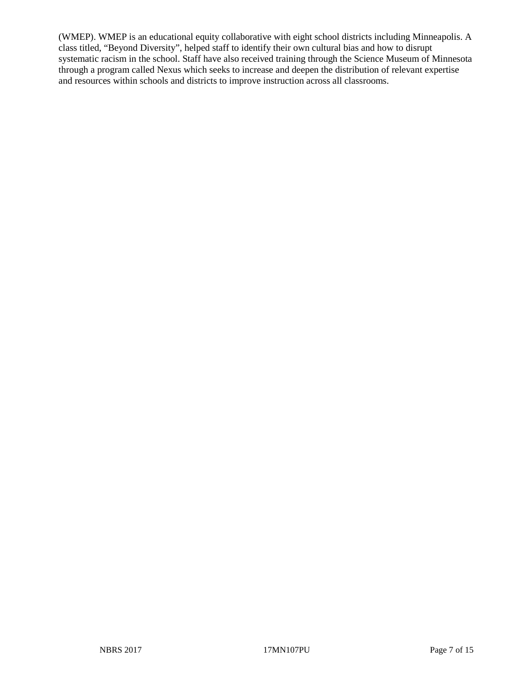(WMEP). WMEP is an educational equity collaborative with eight school districts including Minneapolis. A class titled, "Beyond Diversity", helped staff to identify their own cultural bias and how to disrupt systematic racism in the school. Staff have also received training through the Science Museum of Minnesota through a program called Nexus which seeks to increase and deepen the distribution of relevant expertise and resources within schools and districts to improve instruction across all classrooms.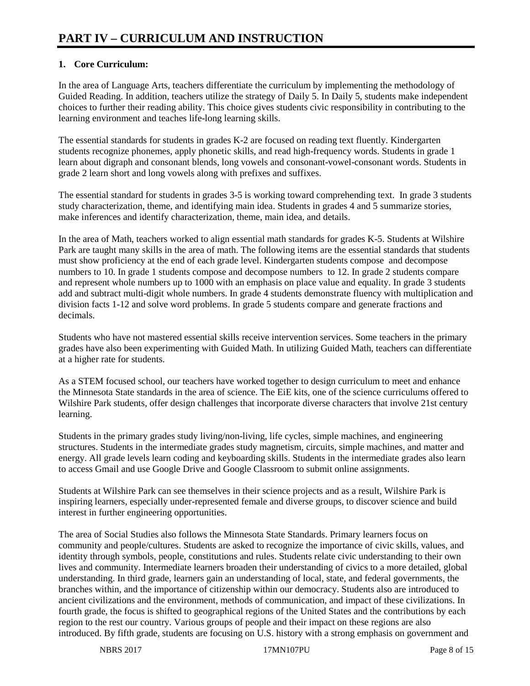# **1. Core Curriculum:**

In the area of Language Arts, teachers differentiate the curriculum by implementing the methodology of Guided Reading. In addition, teachers utilize the strategy of Daily 5. In Daily 5, students make independent choices to further their reading ability. This choice gives students civic responsibility in contributing to the learning environment and teaches life-long learning skills.

The essential standards for students in grades K-2 are focused on reading text fluently. Kindergarten students recognize phonemes, apply phonetic skills, and read high-frequency words. Students in grade 1 learn about digraph and consonant blends, long vowels and consonant-vowel-consonant words. Students in grade 2 learn short and long vowels along with prefixes and suffixes.

The essential standard for students in grades 3-5 is working toward comprehending text. In grade 3 students study characterization, theme, and identifying main idea. Students in grades 4 and 5 summarize stories, make inferences and identify characterization, theme, main idea, and details.

In the area of Math, teachers worked to align essential math standards for grades K-5. Students at Wilshire Park are taught many skills in the area of math. The following items are the essential standards that students must show proficiency at the end of each grade level. Kindergarten students compose and decompose numbers to 10. In grade 1 students compose and decompose numbers to 12. In grade 2 students compare and represent whole numbers up to 1000 with an emphasis on place value and equality. In grade 3 students add and subtract multi-digit whole numbers. In grade 4 students demonstrate fluency with multiplication and division facts 1-12 and solve word problems. In grade 5 students compare and generate fractions and decimals.

Students who have not mastered essential skills receive intervention services. Some teachers in the primary grades have also been experimenting with Guided Math. In utilizing Guided Math, teachers can differentiate at a higher rate for students.

As a STEM focused school, our teachers have worked together to design curriculum to meet and enhance the Minnesota State standards in the area of science. The EiE kits, one of the science curriculums offered to Wilshire Park students, offer design challenges that incorporate diverse characters that involve 21st century learning.

Students in the primary grades study living/non-living, life cycles, simple machines, and engineering structures. Students in the intermediate grades study magnetism, circuits, simple machines, and matter and energy. All grade levels learn coding and keyboarding skills. Students in the intermediate grades also learn to access Gmail and use Google Drive and Google Classroom to submit online assignments.

Students at Wilshire Park can see themselves in their science projects and as a result, Wilshire Park is inspiring learners, especially under-represented female and diverse groups, to discover science and build interest in further engineering opportunities.

The area of Social Studies also follows the Minnesota State Standards. Primary learners focus on community and people/cultures. Students are asked to recognize the importance of civic skills, values, and identity through symbols, people, constitutions and rules. Students relate civic understanding to their own lives and community. Intermediate learners broaden their understanding of civics to a more detailed, global understanding. In third grade, learners gain an understanding of local, state, and federal governments, the branches within, and the importance of citizenship within our democracy. Students also are introduced to ancient civilizations and the environment, methods of communication, and impact of these civilizations. In fourth grade, the focus is shifted to geographical regions of the United States and the contributions by each region to the rest our country. Various groups of people and their impact on these regions are also introduced. By fifth grade, students are focusing on  $\overline{U}.S$ . history with a strong emphasis on government and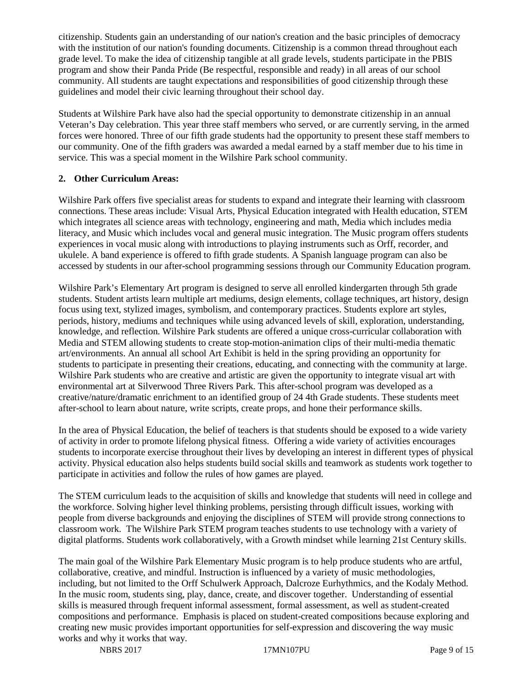citizenship. Students gain an understanding of our nation's creation and the basic principles of democracy with the institution of our nation's founding documents. Citizenship is a common thread throughout each grade level. To make the idea of citizenship tangible at all grade levels, students participate in the PBIS program and show their Panda Pride (Be respectful, responsible and ready) in all areas of our school community. All students are taught expectations and responsibilities of good citizenship through these guidelines and model their civic learning throughout their school day.

Students at Wilshire Park have also had the special opportunity to demonstrate citizenship in an annual Veteran's Day celebration. This year three staff members who served, or are currently serving, in the armed forces were honored. Three of our fifth grade students had the opportunity to present these staff members to our community. One of the fifth graders was awarded a medal earned by a staff member due to his time in service. This was a special moment in the Wilshire Park school community.

# **2. Other Curriculum Areas:**

Wilshire Park offers five specialist areas for students to expand and integrate their learning with classroom connections. These areas include: Visual Arts, Physical Education integrated with Health education, STEM which integrates all science areas with technology, engineering and math, Media which includes media literacy, and Music which includes vocal and general music integration. The Music program offers students experiences in vocal music along with introductions to playing instruments such as Orff, recorder, and ukulele. A band experience is offered to fifth grade students. A Spanish language program can also be accessed by students in our after-school programming sessions through our Community Education program.

Wilshire Park's Elementary Art program is designed to serve all enrolled kindergarten through 5th grade students. Student artists learn multiple art mediums, design elements, collage techniques, art history, design focus using text, stylized images, symbolism, and contemporary practices. Students explore art styles, periods, history, mediums and techniques while using advanced levels of skill, exploration, understanding, knowledge, and reflection. Wilshire Park students are offered a unique cross-curricular collaboration with Media and STEM allowing students to create stop-motion-animation clips of their multi-media thematic art/environments. An annual all school Art Exhibit is held in the spring providing an opportunity for students to participate in presenting their creations, educating, and connecting with the community at large. Wilshire Park students who are creative and artistic are given the opportunity to integrate visual art with environmental art at Silverwood Three Rivers Park. This after-school program was developed as a creative/nature/dramatic enrichment to an identified group of 24 4th Grade students. These students meet after-school to learn about nature, write scripts, create props, and hone their performance skills.

In the area of Physical Education, the belief of teachers is that students should be exposed to a wide variety of activity in order to promote lifelong physical fitness. Offering a wide variety of activities encourages students to incorporate exercise throughout their lives by developing an interest in different types of physical activity. Physical education also helps students build social skills and teamwork as students work together to participate in activities and follow the rules of how games are played.

The STEM curriculum leads to the acquisition of skills and knowledge that students will need in college and the workforce. Solving higher level thinking problems, persisting through difficult issues, working with people from diverse backgrounds and enjoying the disciplines of STEM will provide strong connections to classroom work. The Wilshire Park STEM program teaches students to use technology with a variety of digital platforms. Students work collaboratively, with a Growth mindset while learning 21st Century skills.

The main goal of the Wilshire Park Elementary Music program is to help produce students who are artful, collaborative, creative, and mindful. Instruction is influenced by a variety of music methodologies, including, but not limited to the Orff Schulwerk Approach, Dalcroze Eurhythmics, and the Kodaly Method. In the music room, students sing, play, dance, create, and discover together. Understanding of essential skills is measured through frequent informal assessment, formal assessment, as well as student-created compositions and performance. Emphasis is placed on student-created compositions because exploring and creating new music provides important opportunities for self-expression and discovering the way music works and why it works that way.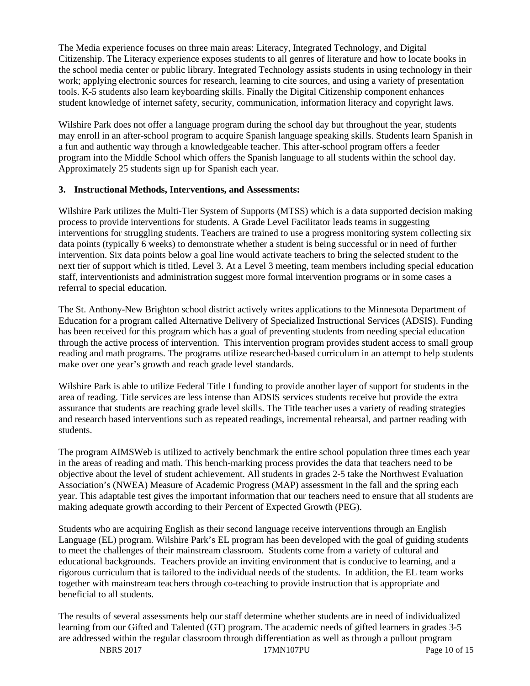The Media experience focuses on three main areas: Literacy, Integrated Technology, and Digital Citizenship. The Literacy experience exposes students to all genres of literature and how to locate books in the school media center or public library. Integrated Technology assists students in using technology in their work; applying electronic sources for research, learning to cite sources, and using a variety of presentation tools. K-5 students also learn keyboarding skills. Finally the Digital Citizenship component enhances student knowledge of internet safety, security, communication, information literacy and copyright laws.

Wilshire Park does not offer a language program during the school day but throughout the year, students may enroll in an after-school program to acquire Spanish language speaking skills. Students learn Spanish in a fun and authentic way through a knowledgeable teacher. This after-school program offers a feeder program into the Middle School which offers the Spanish language to all students within the school day. Approximately 25 students sign up for Spanish each year.

#### **3. Instructional Methods, Interventions, and Assessments:**

Wilshire Park utilizes the Multi-Tier System of Supports (MTSS) which is a data supported decision making process to provide interventions for students. A Grade Level Facilitator leads teams in suggesting interventions for struggling students. Teachers are trained to use a progress monitoring system collecting six data points (typically 6 weeks) to demonstrate whether a student is being successful or in need of further intervention. Six data points below a goal line would activate teachers to bring the selected student to the next tier of support which is titled, Level 3. At a Level 3 meeting, team members including special education staff, interventionists and administration suggest more formal intervention programs or in some cases a referral to special education.

The St. Anthony-New Brighton school district actively writes applications to the Minnesota Department of Education for a program called Alternative Delivery of Specialized Instructional Services (ADSIS). Funding has been received for this program which has a goal of preventing students from needing special education through the active process of intervention. This intervention program provides student access to small group reading and math programs. The programs utilize researched-based curriculum in an attempt to help students make over one year's growth and reach grade level standards.

Wilshire Park is able to utilize Federal Title I funding to provide another layer of support for students in the area of reading. Title services are less intense than ADSIS services students receive but provide the extra assurance that students are reaching grade level skills. The Title teacher uses a variety of reading strategies and research based interventions such as repeated readings, incremental rehearsal, and partner reading with students.

The program AIMSWeb is utilized to actively benchmark the entire school population three times each year in the areas of reading and math. This bench-marking process provides the data that teachers need to be objective about the level of student achievement. All students in grades 2-5 take the Northwest Evaluation Association's (NWEA) Measure of Academic Progress (MAP) assessment in the fall and the spring each year. This adaptable test gives the important information that our teachers need to ensure that all students are making adequate growth according to their Percent of Expected Growth (PEG).

Students who are acquiring English as their second language receive interventions through an English Language (EL) program. Wilshire Park's EL program has been developed with the goal of guiding students to meet the challenges of their mainstream classroom. Students come from a variety of cultural and educational backgrounds. Teachers provide an inviting environment that is conducive to learning, and a rigorous curriculum that is tailored to the individual needs of the students. In addition, the EL team works together with mainstream teachers through co-teaching to provide instruction that is appropriate and beneficial to all students.

The results of several assessments help our staff determine whether students are in need of individualized learning from our Gifted and Talented (GT) program. The academic needs of gifted learners in grades 3-5 are addressed within the regular classroom through differentiation as well as through a pullout program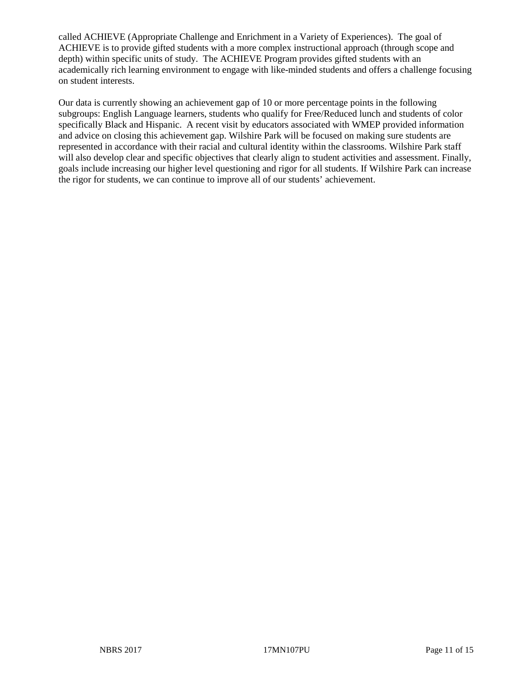called ACHIEVE (Appropriate Challenge and Enrichment in a Variety of Experiences). The goal of ACHIEVE is to provide gifted students with a more complex instructional approach (through scope and depth) within specific units of study. The ACHIEVE Program provides gifted students with an academically rich learning environment to engage with like-minded students and offers a challenge focusing on student interests.

Our data is currently showing an achievement gap of 10 or more percentage points in the following subgroups: English Language learners, students who qualify for Free/Reduced lunch and students of color specifically Black and Hispanic. A recent visit by educators associated with WMEP provided information and advice on closing this achievement gap. Wilshire Park will be focused on making sure students are represented in accordance with their racial and cultural identity within the classrooms. Wilshire Park staff will also develop clear and specific objectives that clearly align to student activities and assessment. Finally, goals include increasing our higher level questioning and rigor for all students. If Wilshire Park can increase the rigor for students, we can continue to improve all of our students' achievement.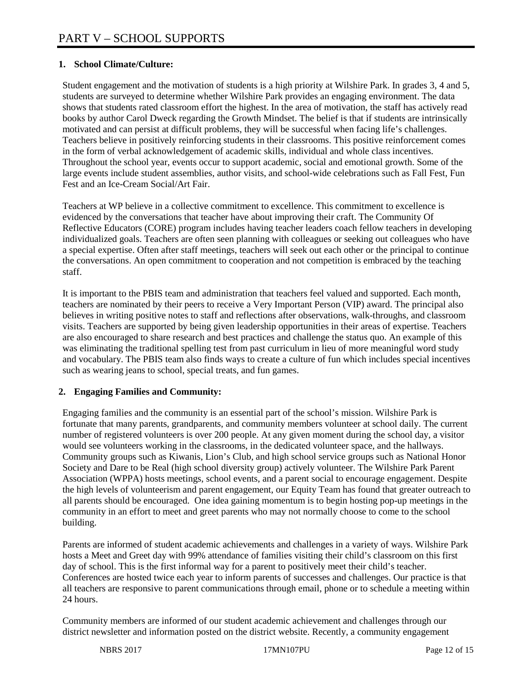# **1. School Climate/Culture:**

Student engagement and the motivation of students is a high priority at Wilshire Park. In grades 3, 4 and 5, students are surveyed to determine whether Wilshire Park provides an engaging environment. The data shows that students rated classroom effort the highest. In the area of motivation, the staff has actively read books by author Carol Dweck regarding the Growth Mindset. The belief is that if students are intrinsically motivated and can persist at difficult problems, they will be successful when facing life's challenges. Teachers believe in positively reinforcing students in their classrooms. This positive reinforcement comes in the form of verbal acknowledgement of academic skills, individual and whole class incentives. Throughout the school year, events occur to support academic, social and emotional growth. Some of the large events include student assemblies, author visits, and school-wide celebrations such as Fall Fest, Fun Fest and an Ice-Cream Social/Art Fair.

Teachers at WP believe in a collective commitment to excellence. This commitment to excellence is evidenced by the conversations that teacher have about improving their craft. The Community Of Reflective Educators (CORE) program includes having teacher leaders coach fellow teachers in developing individualized goals. Teachers are often seen planning with colleagues or seeking out colleagues who have a special expertise. Often after staff meetings, teachers will seek out each other or the principal to continue the conversations. An open commitment to cooperation and not competition is embraced by the teaching staff.

It is important to the PBIS team and administration that teachers feel valued and supported. Each month, teachers are nominated by their peers to receive a Very Important Person (VIP) award. The principal also believes in writing positive notes to staff and reflections after observations, walk-throughs, and classroom visits. Teachers are supported by being given leadership opportunities in their areas of expertise. Teachers are also encouraged to share research and best practices and challenge the status quo. An example of this was eliminating the traditional spelling test from past curriculum in lieu of more meaningful word study and vocabulary. The PBIS team also finds ways to create a culture of fun which includes special incentives such as wearing jeans to school, special treats, and fun games.

## **2. Engaging Families and Community:**

Engaging families and the community is an essential part of the school's mission. Wilshire Park is fortunate that many parents, grandparents, and community members volunteer at school daily. The current number of registered volunteers is over 200 people. At any given moment during the school day, a visitor would see volunteers working in the classrooms, in the dedicated volunteer space, and the hallways. Community groups such as Kiwanis, Lion's Club, and high school service groups such as National Honor Society and Dare to be Real (high school diversity group) actively volunteer. The Wilshire Park Parent Association (WPPA) hosts meetings, school events, and a parent social to encourage engagement. Despite the high levels of volunteerism and parent engagement, our Equity Team has found that greater outreach to all parents should be encouraged. One idea gaining momentum is to begin hosting pop-up meetings in the community in an effort to meet and greet parents who may not normally choose to come to the school building.

Parents are informed of student academic achievements and challenges in a variety of ways. Wilshire Park hosts a Meet and Greet day with 99% attendance of families visiting their child's classroom on this first day of school. This is the first informal way for a parent to positively meet their child's teacher. Conferences are hosted twice each year to inform parents of successes and challenges. Our practice is that all teachers are responsive to parent communications through email, phone or to schedule a meeting within 24 hours.

Community members are informed of our student academic achievement and challenges through our district newsletter and information posted on the district website. Recently, a community engagement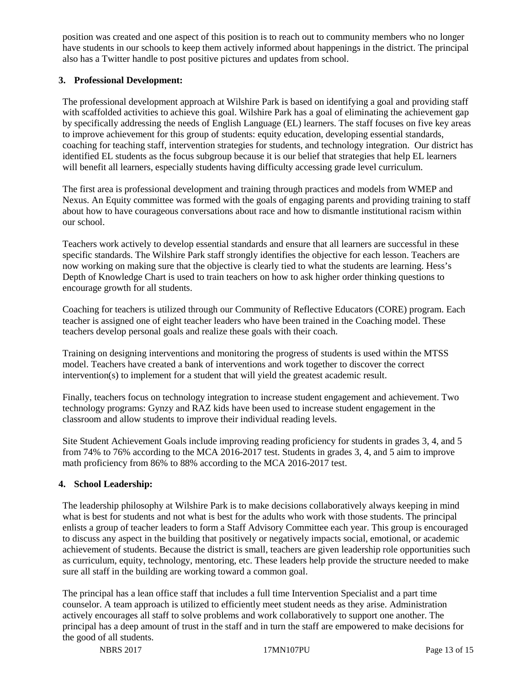position was created and one aspect of this position is to reach out to community members who no longer have students in our schools to keep them actively informed about happenings in the district. The principal also has a Twitter handle to post positive pictures and updates from school.

#### **3. Professional Development:**

The professional development approach at Wilshire Park is based on identifying a goal and providing staff with scaffolded activities to achieve this goal. Wilshire Park has a goal of eliminating the achievement gap by specifically addressing the needs of English Language (EL) learners. The staff focuses on five key areas to improve achievement for this group of students: equity education, developing essential standards, coaching for teaching staff, intervention strategies for students, and technology integration. Our district has identified EL students as the focus subgroup because it is our belief that strategies that help EL learners will benefit all learners, especially students having difficulty accessing grade level curriculum.

The first area is professional development and training through practices and models from WMEP and Nexus. An Equity committee was formed with the goals of engaging parents and providing training to staff about how to have courageous conversations about race and how to dismantle institutional racism within our school.

Teachers work actively to develop essential standards and ensure that all learners are successful in these specific standards. The Wilshire Park staff strongly identifies the objective for each lesson. Teachers are now working on making sure that the objective is clearly tied to what the students are learning. Hess's Depth of Knowledge Chart is used to train teachers on how to ask higher order thinking questions to encourage growth for all students.

Coaching for teachers is utilized through our Community of Reflective Educators (CORE) program. Each teacher is assigned one of eight teacher leaders who have been trained in the Coaching model. These teachers develop personal goals and realize these goals with their coach.

Training on designing interventions and monitoring the progress of students is used within the MTSS model. Teachers have created a bank of interventions and work together to discover the correct intervention(s) to implement for a student that will yield the greatest academic result.

Finally, teachers focus on technology integration to increase student engagement and achievement. Two technology programs: Gynzy and RAZ kids have been used to increase student engagement in the classroom and allow students to improve their individual reading levels.

Site Student Achievement Goals include improving reading proficiency for students in grades 3, 4, and 5 from 74% to 76% according to the MCA 2016-2017 test. Students in grades 3, 4, and 5 aim to improve math proficiency from 86% to 88% according to the MCA 2016-2017 test.

## **4. School Leadership:**

The leadership philosophy at Wilshire Park is to make decisions collaboratively always keeping in mind what is best for students and not what is best for the adults who work with those students. The principal enlists a group of teacher leaders to form a Staff Advisory Committee each year. This group is encouraged to discuss any aspect in the building that positively or negatively impacts social, emotional, or academic achievement of students. Because the district is small, teachers are given leadership role opportunities such as curriculum, equity, technology, mentoring, etc. These leaders help provide the structure needed to make sure all staff in the building are working toward a common goal.

The principal has a lean office staff that includes a full time Intervention Specialist and a part time counselor. A team approach is utilized to efficiently meet student needs as they arise. Administration actively encourages all staff to solve problems and work collaboratively to support one another. The principal has a deep amount of trust in the staff and in turn the staff are empowered to make decisions for the good of all students.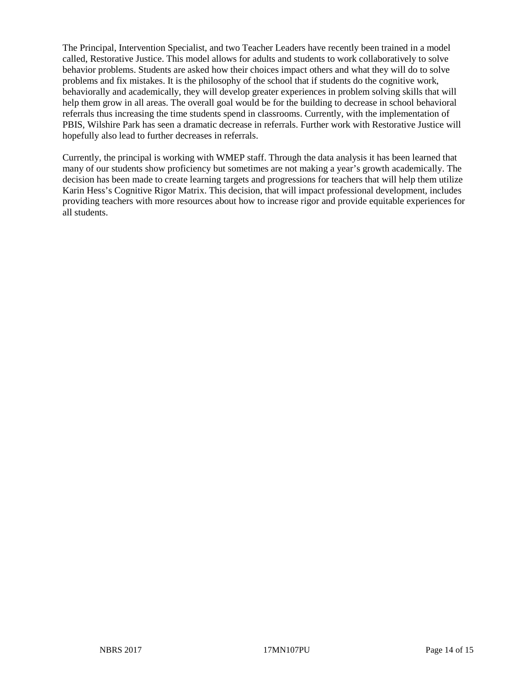The Principal, Intervention Specialist, and two Teacher Leaders have recently been trained in a model called, Restorative Justice. This model allows for adults and students to work collaboratively to solve behavior problems. Students are asked how their choices impact others and what they will do to solve problems and fix mistakes. It is the philosophy of the school that if students do the cognitive work, behaviorally and academically, they will develop greater experiences in problem solving skills that will help them grow in all areas. The overall goal would be for the building to decrease in school behavioral referrals thus increasing the time students spend in classrooms. Currently, with the implementation of PBIS, Wilshire Park has seen a dramatic decrease in referrals. Further work with Restorative Justice will hopefully also lead to further decreases in referrals.

Currently, the principal is working with WMEP staff. Through the data analysis it has been learned that many of our students show proficiency but sometimes are not making a year's growth academically. The decision has been made to create learning targets and progressions for teachers that will help them utilize Karin Hess's Cognitive Rigor Matrix. This decision, that will impact professional development, includes providing teachers with more resources about how to increase rigor and provide equitable experiences for all students.